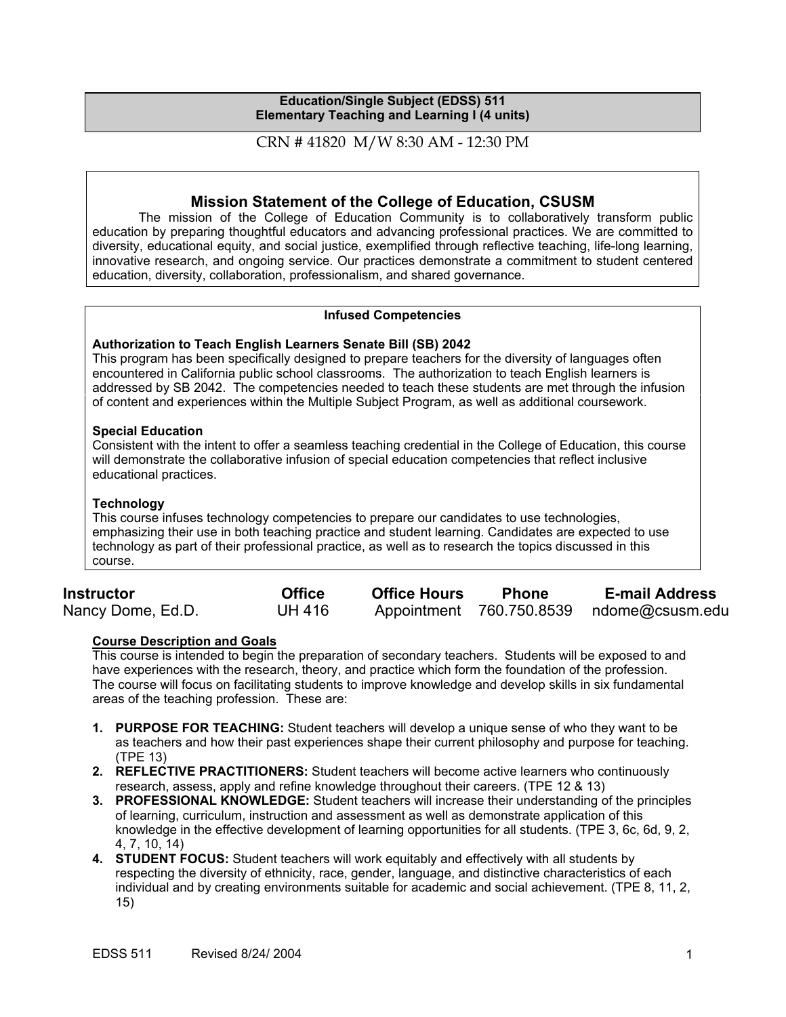#### **Education/Single Subject (EDSS) 511 Elementary Teaching and Learning I (4 units)**

## CRN # 41820 M/W 8:30 AM - 12:30 PM

# **Mission Statement of the College of Education, CSUSM**

The mission of the College of Education Community is to collaboratively transform public education by preparing thoughtful educators and advancing professional practices. We are committed to diversity, educational equity, and social justice, exemplified through reflective teaching, life-long learning, innovative research, and ongoing service. Our practices demonstrate a commitment to student centered education, diversity, collaboration, professionalism, and shared governance.

#### **Infused Competencies**

### **Authorization to Teach English Learners Senate Bill (SB) 2042**

This program has been specifically designed to prepare teachers for the diversity of languages often encountered in California public school classrooms. The authorization to teach English learners is addressed by SB 2042. The competencies needed to teach these students are met through the infusion of content and experiences within the Multiple Subject Program, as well as additional coursework.

#### **Special Education**

Consistent with the intent to offer a seamless teaching credential in the College of Education, this course will demonstrate the collaborative infusion of special education competencies that reflect inclusive educational practices.

### **Technology**

This course infuses technology competencies to prepare our candidates to use technologies, emphasizing their use in both teaching practice and student learning. Candidates are expected to use technology as part of their professional practice, as well as to research the topics discussed in this course.

| <b>Instructor</b> | <b>Office</b> | <b>Office Hours</b> | <b>Phone</b> | <b>E-mail Address</b>                    |
|-------------------|---------------|---------------------|--------------|------------------------------------------|
| Nancy Dome, Ed.D. | <b>UH 416</b> |                     |              | Appointment 760.750.8539 ndome@csusm.edu |

#### **Course Description and Goals**

This course is intended to begin the preparation of secondary teachers. Students will be exposed to and have experiences with the research, theory, and practice which form the foundation of the profession. The course will focus on facilitating students to improve knowledge and develop skills in six fundamental areas of the teaching profession. These are:

- **1. PURPOSE FOR TEACHING:** Student teachers will develop a unique sense of who they want to be as teachers and how their past experiences shape their current philosophy and purpose for teaching. (TPE 13)
- **2. REFLECTIVE PRACTITIONERS:** Student teachers will become active learners who continuously research, assess, apply and refine knowledge throughout their careers. (TPE 12 & 13)
- **3. PROFESSIONAL KNOWLEDGE:** Student teachers will increase their understanding of the principles of learning, curriculum, instruction and assessment as well as demonstrate application of this knowledge in the effective development of learning opportunities for all students. (TPE 3, 6c, 6d, 9, 2, 4, 7, 10, 14)
- **4. STUDENT FOCUS:** Student teachers will work equitably and effectively with all students by respecting the diversity of ethnicity, race, gender, language, and distinctive characteristics of each individual and by creating environments suitable for academic and social achievement. (TPE 8, 11, 2, 15)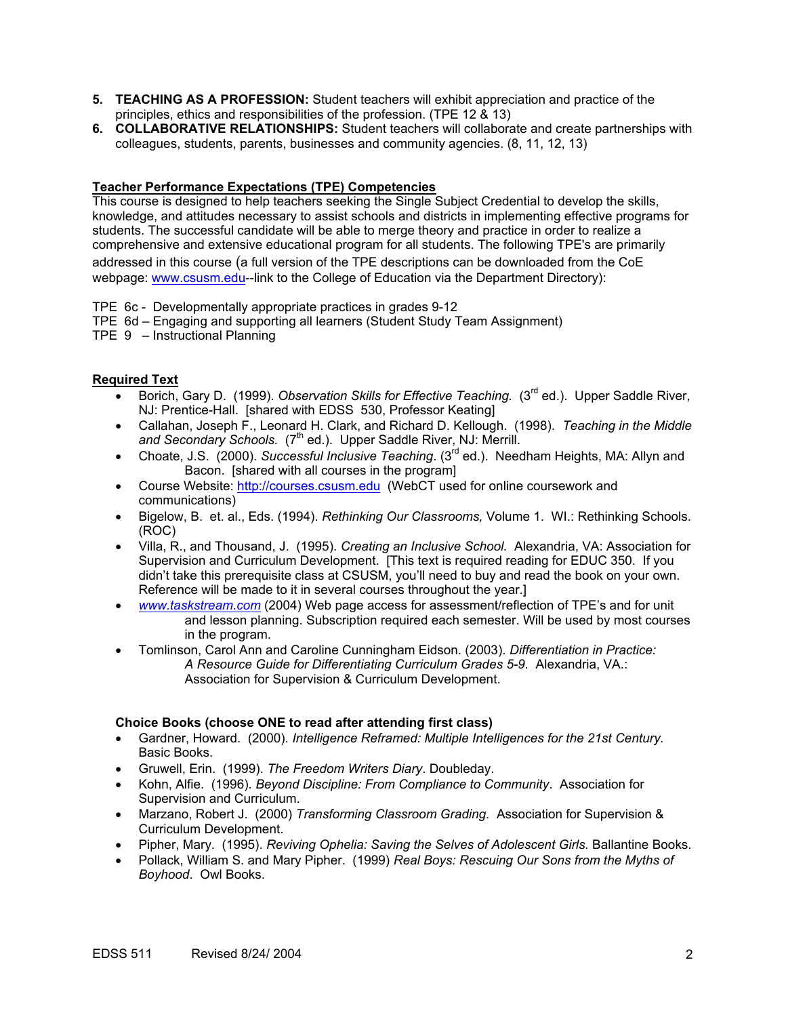- **5. TEACHING AS A PROFESSION:** Student teachers will exhibit appreciation and practice of the principles, ethics and responsibilities of the profession. (TPE 12 & 13)
- **6. COLLABORATIVE RELATIONSHIPS:** Student teachers will collaborate and create partnerships with colleagues, students, parents, businesses and community agencies. (8, 11, 12, 13)

### **Teacher Performance Expectations (TPE) Competencies**

This course is designed to help teachers seeking the Single Subject Credential to develop the skills, knowledge, and attitudes necessary to assist schools and districts in implementing effective programs for students. The successful candidate will be able to merge theory and practice in order to realize a comprehensive and extensive educational program for all students. The following TPE's are primarily addressed in this course (a full version of the TPE descriptions can be downloaded from the CoE webpage: www.csusm.edu--link to the College of Education via the Department Directory):

TPE 6c - Developmentally appropriate practices in grades 9-12

- TPE 6d Engaging and supporting all learners (Student Study Team Assignment)
- TPE 9 Instructional Planning

#### **Required Text**

- Borich, Gary D. (1999). *Observation Skills for Effective Teaching.* (3<sup>rd</sup> ed.). Upper Saddle River, NJ: Prentice-Hall. [shared with EDSS 530, Professor Keating]
- Callahan, Joseph F., Leonard H. Clark, and Richard D. Kellough. (1998). *Teaching in the Middle*  and Secondary Schools. (7<sup>th</sup> ed.). Upper Saddle River, NJ: Merrill.
- Choate, J.S. (2000). *Successful Inclusive Teaching*. (3rd ed.). Needham Heights, MA: Allyn and Bacon. [shared with all courses in the program]
- Course Website: http://courses.csusm.edu (WebCT used for online coursework and communications)
- Bigelow, B. et. al., Eds. (1994). *Rethinking Our Classrooms,* Volume 1. WI.: Rethinking Schools. (ROC)
- Villa, R., and Thousand, J. (1995). *Creating an Inclusive School.* Alexandria, VA: Association for Supervision and Curriculum Development. [This text is required reading for EDUC 350. If you didn't take this prerequisite class at CSUSM, you'll need to buy and read the book on your own. Reference will be made to it in several courses throughout the year.]
- *www.taskstream.com* (2004) Web page access for assessment/reflection of TPE's and for unit and lesson planning. Subscription required each semester. Will be used by most courses in the program.
- Tomlinson, Carol Ann and Caroline Cunningham Eidson. (2003). *Differentiation in Practice: A Resource Guide for Differentiating Curriculum Grades 5-9.* Alexandria, VA.: Association for Supervision & Curriculum Development.

#### **Choice Books (choose ONE to read after attending first class)**

- Gardner, Howard. (2000). *Intelligence Reframed: Multiple Intelligences for the 21st Century.* Basic Books.
- Gruwell, Erin. (1999). *The Freedom Writers Diary*. Doubleday.
- Kohn, Alfie. (1996). *Beyond Discipline: From Compliance to Community*. Association for Supervision and Curriculum.
- Marzano, Robert J. (2000) *Transforming Classroom Grading.* Association for Supervision & Curriculum Development.
- Pipher, Mary. (1995). *Reviving Ophelia: Saving the Selves of Adolescent Girls.* Ballantine Books.
- Pollack, William S. and Mary Pipher. (1999) *Real Boys: Rescuing Our Sons from the Myths of Boyhood*. Owl Books.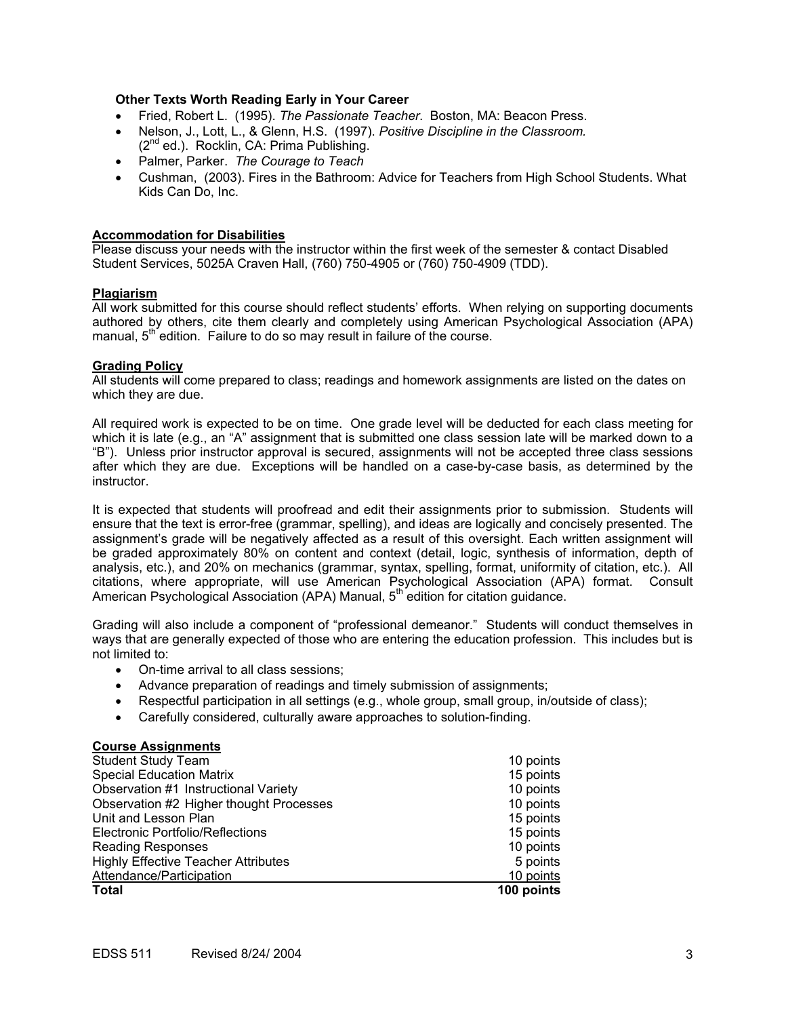### **Other Texts Worth Reading Early in Your Career**

- Fried, Robert L. (1995). *The Passionate Teacher*. Boston, MA: Beacon Press.
- Nelson, J., Lott, L., & Glenn, H.S. (1997). *Positive Discipline in the Classroom.* (2<sup>nd</sup> ed.). Rocklin, CA: Prima Publishing.
- Palmer, Parker. *The Courage to Teach*
- Cushman, (2003). Fires in the Bathroom: Advice for Teachers from High School Students. What Kids Can Do, Inc.

#### **Accommodation for Disabilities**

Please discuss your needs with the instructor within the first week of the semester & contact Disabled Student Services, 5025A Craven Hall, (760) 750-4905 or (760) 750-4909 (TDD).

#### **Plagiarism**

All work submitted for this course should reflect students' efforts. When relying on supporting documents authored by others, cite them clearly and completely using American Psychological Association (APA) manual,  $5<sup>th</sup>$  edition. Failure to do so may result in failure of the course.

#### **Grading Policy**

All students will come prepared to class; readings and homework assignments are listed on the dates on which they are due.

All required work is expected to be on time. One grade level will be deducted for each class meeting for which it is late (e.g., an "A" assignment that is submitted one class session late will be marked down to a "B"). Unless prior instructor approval is secured, assignments will not be accepted three class sessions after which they are due. Exceptions will be handled on a case-by-case basis, as determined by the instructor.

It is expected that students will proofread and edit their assignments prior to submission. Students will ensure that the text is error-free (grammar, spelling), and ideas are logically and concisely presented. The assignment's grade will be negatively affected as a result of this oversight. Each written assignment will be graded approximately 80% on content and context (detail, logic, synthesis of information, depth of analysis, etc.), and 20% on mechanics (grammar, syntax, spelling, format, uniformity of citation, etc.). All citations, where appropriate, will use American Psychological Association (APA) format. Consult American Psychological Association (APA) Manual, 5<sup>th</sup> edition for citation guidance.

Grading will also include a component of "professional demeanor." Students will conduct themselves in ways that are generally expected of those who are entering the education profession. This includes but is not limited to:

- On-time arrival to all class sessions;
- Advance preparation of readings and timely submission of assignments;
- Respectful participation in all settings (e.g., whole group, small group, in/outside of class);
- Carefully considered, culturally aware approaches to solution-finding.

#### **Course Assignments**

| <b>Student Study Team</b>                  | 10 points  |
|--------------------------------------------|------------|
| <b>Special Education Matrix</b>            | 15 points  |
| Observation #1 Instructional Variety       | 10 points  |
| Observation #2 Higher thought Processes    | 10 points  |
| Unit and Lesson Plan                       | 15 points  |
| Electronic Portfolio/Reflections           | 15 points  |
| <b>Reading Responses</b>                   | 10 points  |
| <b>Highly Effective Teacher Attributes</b> | 5 points   |
| Attendance/Participation                   | 10 points  |
| <b>Total</b>                               | 100 points |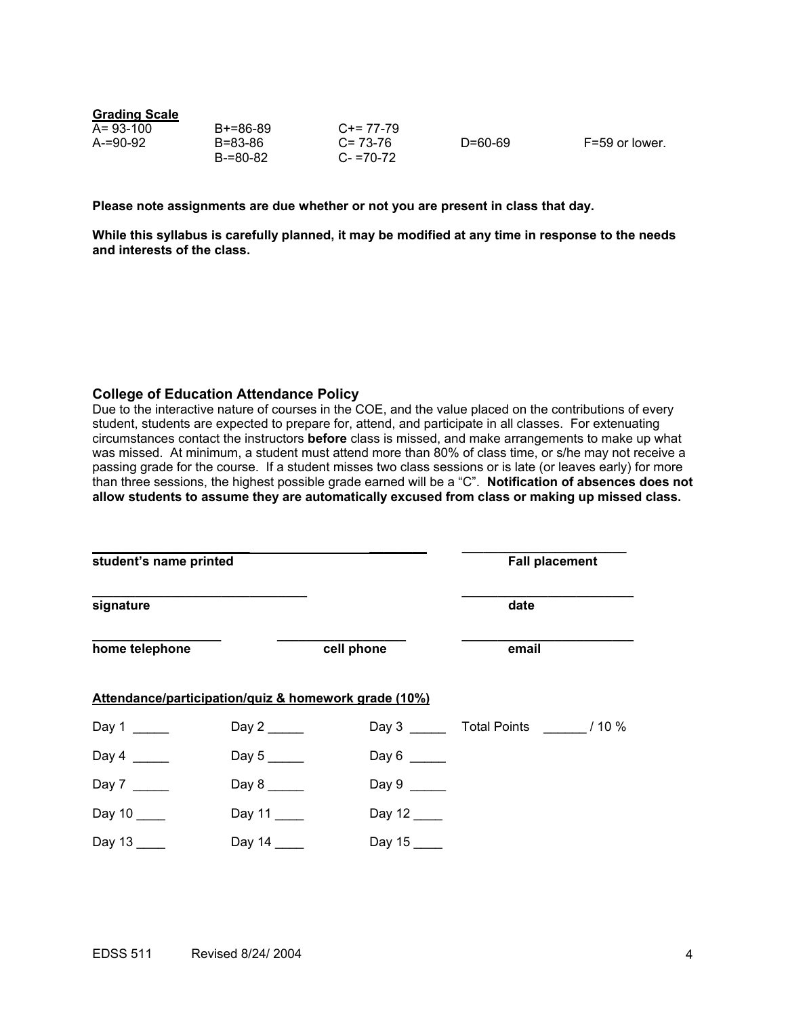| A= 93-100 | B+=86-89 | $C+= 77-79$   |
|-----------|----------|---------------|
| A-=90-92  | B=83-86  | $C = 73-76$   |
|           | B-=80-82 | $C - 70 - 72$ |

D=60-69 F=59 or lower.

**Please note assignments are due whether or not you are present in class that day.** 

**While this syllabus is carefully planned, it may be modified at any time in response to the needs and interests of the class.** 

#### **College of Education Attendance Policy**

Due to the interactive nature of courses in the COE, and the value placed on the contributions of every student, students are expected to prepare for, attend, and participate in all classes. For extenuating circumstances contact the instructors **before** class is missed, and make arrangements to make up what was missed. At minimum, a student must attend more than 80% of class time, or s/he may not receive a passing grade for the course. If a student misses two class sessions or is late (or leaves early) for more than three sessions, the highest possible grade earned will be a "C". **Notification of absences does not allow students to assume they are automatically excused from class or making up missed class.** 

| student's name printed |                     |                                                      | <b>Fall placement</b>     |
|------------------------|---------------------|------------------------------------------------------|---------------------------|
| signature              |                     |                                                      | date                      |
| home telephone         |                     | cell phone                                           | email                     |
|                        |                     | Attendance/participation/quiz & homework grade (10%) |                           |
| Day 1                  | Day $2 \_\_\_\_\_\$ |                                                      | Day 3 Total Points / 10 % |
| Day $4 \_$             |                     | Day $6 \_\_$                                         |                           |
| Day 7                  |                     | Day 9 $\frac{1}{2}$                                  |                           |
| Day 10                 | Day 11              | Day 12                                               |                           |
| Day 13                 | Day 14              | Day 15                                               |                           |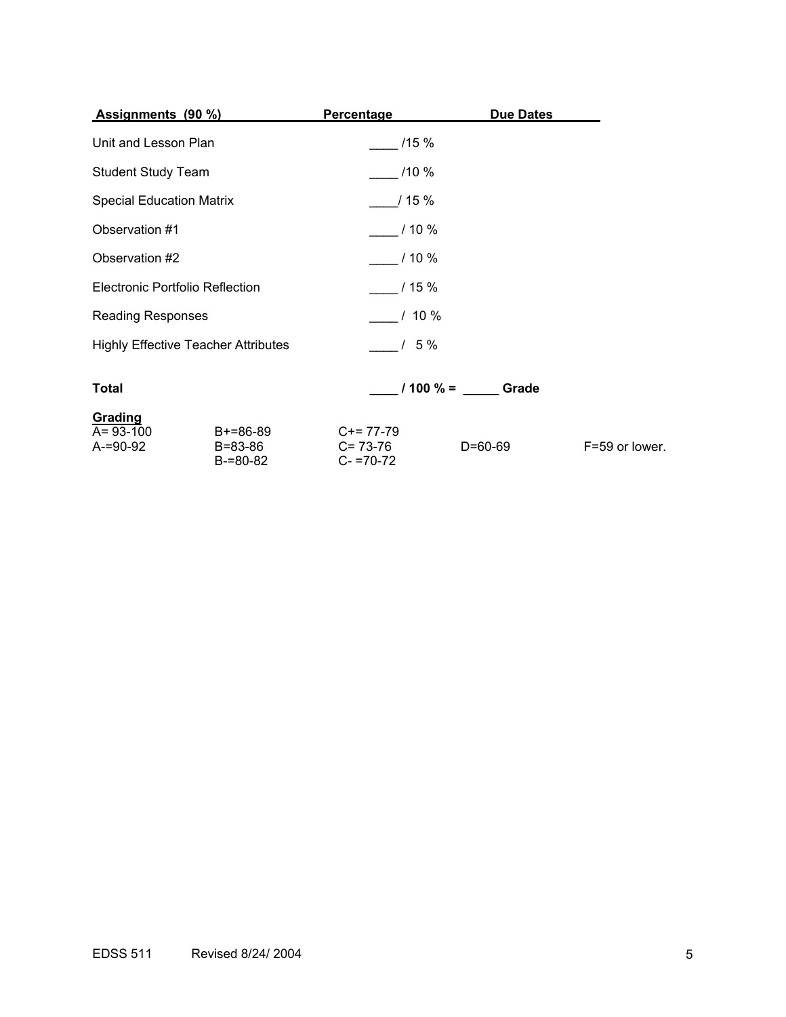| <b>Assignments (90 %)</b>              |                                            | Percentage                              | Due Dates        |                |
|----------------------------------------|--------------------------------------------|-----------------------------------------|------------------|----------------|
| Unit and Lesson Plan                   |                                            | /15%                                    |                  |                |
| <b>Student Study Team</b>              |                                            | $/10 \%$                                |                  |                |
| <b>Special Education Matrix</b>        |                                            | 115%                                    |                  |                |
| Observation #1                         |                                            | $/10 \%$                                |                  |                |
| Observation #2                         |                                            | $10\%$                                  |                  |                |
| <b>Electronic Portfolio Reflection</b> |                                            | $/15\%$                                 |                  |                |
| <b>Reading Responses</b>               |                                            | $/10\%$                                 |                  |                |
|                                        | <b>Highly Effective Teacher Attributes</b> | $/5\%$                                  |                  |                |
| <b>Total</b>                           |                                            |                                         | $1100\% =$ Grade |                |
| Grading<br>A= 93-100<br>A-=90-92       | B+=86-89<br>B=83-86<br>B-=80-82            | $C+= 77-79$<br>C= 73-76<br>$C- = 70-72$ | D=60-69          | F=59 or lower. |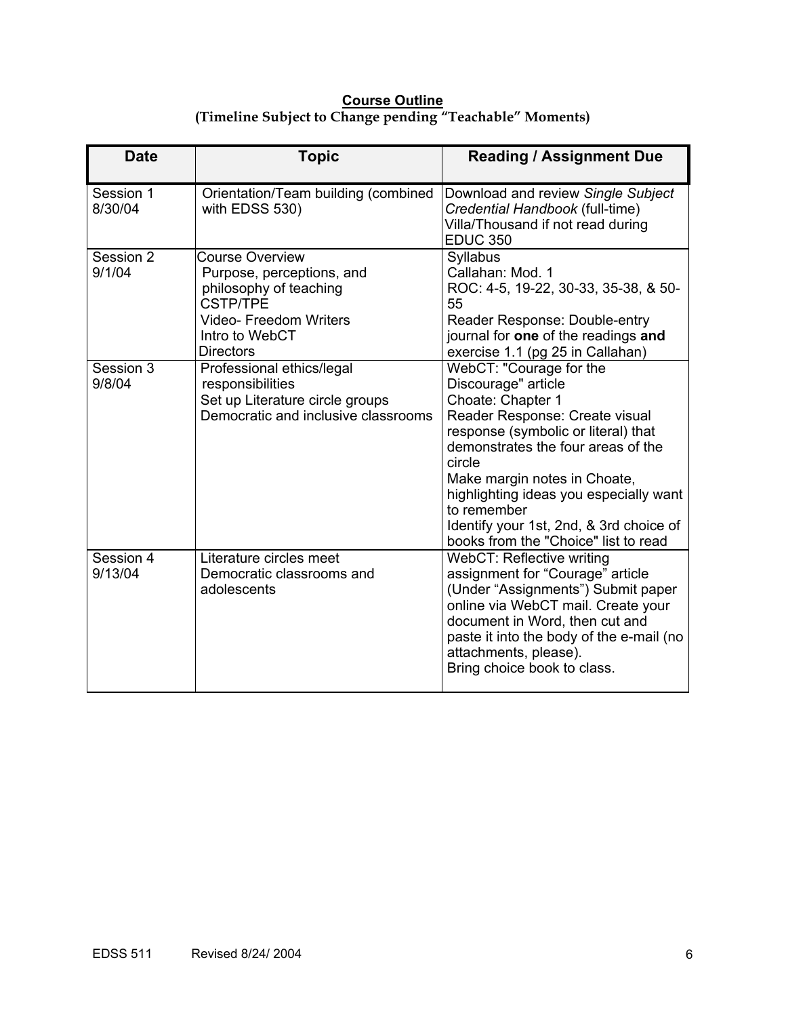### **Course Outline (Timeline Subject to Change pending "Teachable" Moments)**

| <b>Date</b>          | <b>Topic</b>                                                                                                                                                           | <b>Reading / Assignment Due</b>                                                                                                                                                                                                                                                                                                                                          |
|----------------------|------------------------------------------------------------------------------------------------------------------------------------------------------------------------|--------------------------------------------------------------------------------------------------------------------------------------------------------------------------------------------------------------------------------------------------------------------------------------------------------------------------------------------------------------------------|
| Session 1<br>8/30/04 | Orientation/Team building (combined<br>with EDSS 530)                                                                                                                  | Download and review Single Subject<br>Credential Handbook (full-time)<br>Villa/Thousand if not read during<br><b>EDUC 350</b>                                                                                                                                                                                                                                            |
| Session 2<br>9/1/04  | <b>Course Overview</b><br>Purpose, perceptions, and<br>philosophy of teaching<br><b>CSTP/TPE</b><br><b>Video-Freedom Writers</b><br>Intro to WebCT<br><b>Directors</b> | Syllabus<br>Callahan: Mod. 1<br>ROC: 4-5, 19-22, 30-33, 35-38, & 50-<br>55<br>Reader Response: Double-entry<br>journal for one of the readings and<br>exercise 1.1 (pg 25 in Callahan)                                                                                                                                                                                   |
| Session 3<br>9/8/04  | Professional ethics/legal<br>responsibilities<br>Set up Literature circle groups<br>Democratic and inclusive classrooms                                                | WebCT: "Courage for the<br>Discourage" article<br>Choate: Chapter 1<br>Reader Response: Create visual<br>response (symbolic or literal) that<br>demonstrates the four areas of the<br>circle<br>Make margin notes in Choate,<br>highlighting ideas you especially want<br>to remember<br>Identify your 1st, 2nd, & 3rd choice of<br>books from the "Choice" list to read |
| Session 4<br>9/13/04 | Literature circles meet<br>Democratic classrooms and<br>adolescents                                                                                                    | WebCT: Reflective writing<br>assignment for "Courage" article<br>(Under "Assignments") Submit paper<br>online via WebCT mail. Create your<br>document in Word, then cut and<br>paste it into the body of the e-mail (no<br>attachments, please).<br>Bring choice book to class.                                                                                          |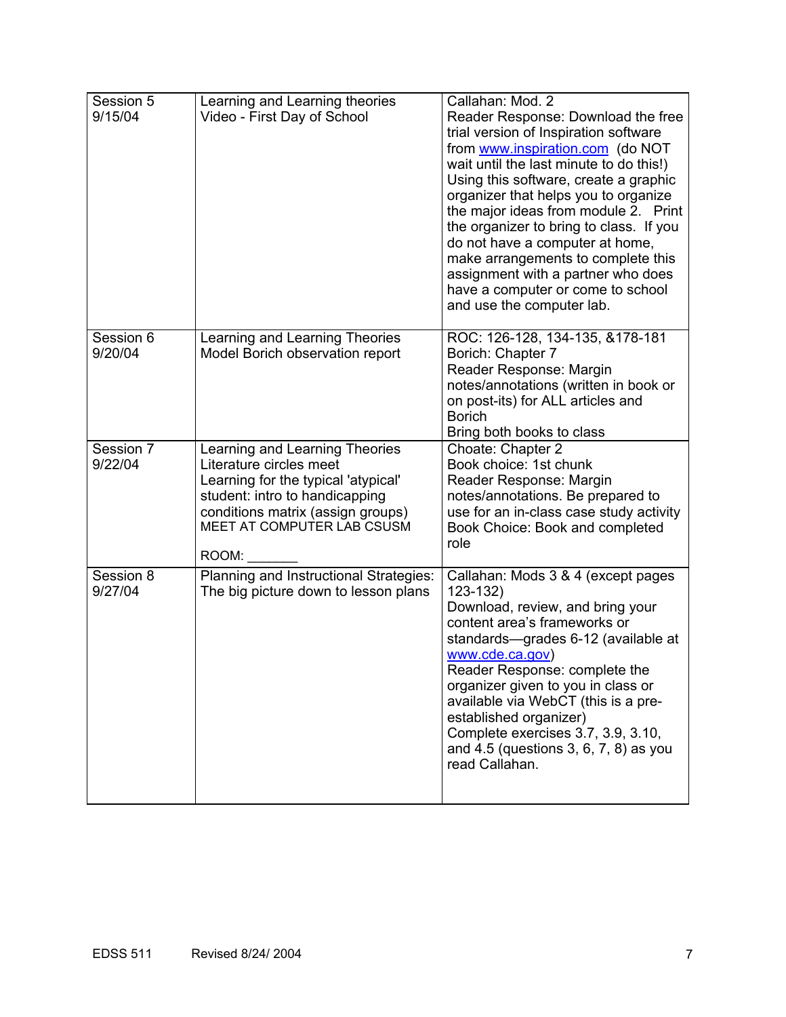| Session 5<br>9/15/04 | Learning and Learning theories<br>Video - First Day of School                                                                                                                                                  | Callahan: Mod. 2<br>Reader Response: Download the free<br>trial version of Inspiration software<br>from www.inspiration.com (do NOT<br>wait until the last minute to do this!)<br>Using this software, create a graphic<br>organizer that helps you to organize<br>the major ideas from module 2. Print<br>the organizer to bring to class. If you<br>do not have a computer at home,<br>make arrangements to complete this<br>assignment with a partner who does<br>have a computer or come to school<br>and use the computer lab. |
|----------------------|----------------------------------------------------------------------------------------------------------------------------------------------------------------------------------------------------------------|-------------------------------------------------------------------------------------------------------------------------------------------------------------------------------------------------------------------------------------------------------------------------------------------------------------------------------------------------------------------------------------------------------------------------------------------------------------------------------------------------------------------------------------|
| Session 6<br>9/20/04 | Learning and Learning Theories<br>Model Borich observation report                                                                                                                                              | ROC: 126-128, 134-135, &178-181<br>Borich: Chapter 7<br>Reader Response: Margin<br>notes/annotations (written in book or<br>on post-its) for ALL articles and<br><b>Borich</b><br>Bring both books to class                                                                                                                                                                                                                                                                                                                         |
| Session 7<br>9/22/04 | Learning and Learning Theories<br>Literature circles meet<br>Learning for the typical 'atypical'<br>student: intro to handicapping<br>conditions matrix (assign groups)<br>MEET AT COMPUTER LAB CSUSM<br>ROOM: | Choate: Chapter 2<br>Book choice: 1st chunk<br>Reader Response: Margin<br>notes/annotations. Be prepared to<br>use for an in-class case study activity<br>Book Choice: Book and completed<br>role                                                                                                                                                                                                                                                                                                                                   |
| Session 8<br>9/27/04 | Planning and Instructional Strategies:<br>The big picture down to lesson plans                                                                                                                                 | Callahan: Mods 3 & 4 (except pages<br>$123 - 132$<br>Download, review, and bring your<br>content area's frameworks or<br>standards—grades 6-12 (available at<br>www.cde.ca.gov)<br>Reader Response: complete the<br>organizer given to you in class or<br>available via WebCT (this is a pre-<br>established organizer)<br>Complete exercises 3.7, 3.9, 3.10,<br>and $4.5$ (questions $3, 6, 7, 8$ ) as you<br>read Callahan.                                                                                                       |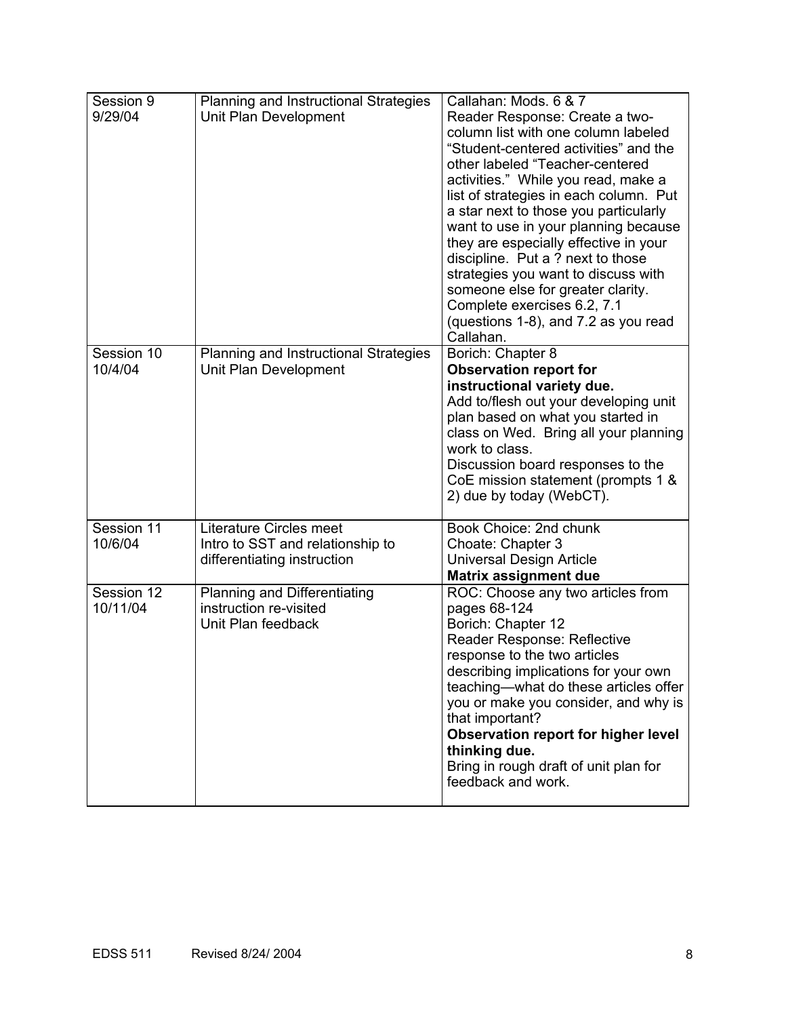| Session 9<br>9/29/04   | Planning and Instructional Strategies<br>Unit Plan Development                             | Callahan: Mods. 6 & 7<br>Reader Response: Create a two-<br>column list with one column labeled<br>"Student-centered activities" and the<br>other labeled "Teacher-centered<br>activities." While you read, make a<br>list of strategies in each column. Put<br>a star next to those you particularly<br>want to use in your planning because<br>they are especially effective in your<br>discipline. Put a ? next to those<br>strategies you want to discuss with<br>someone else for greater clarity.<br>Complete exercises 6.2, 7.1<br>(questions 1-8), and 7.2 as you read<br>Callahan. |
|------------------------|--------------------------------------------------------------------------------------------|--------------------------------------------------------------------------------------------------------------------------------------------------------------------------------------------------------------------------------------------------------------------------------------------------------------------------------------------------------------------------------------------------------------------------------------------------------------------------------------------------------------------------------------------------------------------------------------------|
| Session 10<br>10/4/04  | Planning and Instructional Strategies<br>Unit Plan Development                             | Borich: Chapter 8<br><b>Observation report for</b><br>instructional variety due.<br>Add to/flesh out your developing unit<br>plan based on what you started in<br>class on Wed. Bring all your planning<br>work to class.<br>Discussion board responses to the<br>CoE mission statement (prompts 1 &<br>2) due by today (WebCT).                                                                                                                                                                                                                                                           |
| Session 11<br>10/6/04  | Literature Circles meet<br>Intro to SST and relationship to<br>differentiating instruction | Book Choice: 2nd chunk<br>Choate: Chapter 3<br><b>Universal Design Article</b><br><b>Matrix assignment due</b>                                                                                                                                                                                                                                                                                                                                                                                                                                                                             |
| Session 12<br>10/11/04 | <b>Planning and Differentiating</b><br>instruction re-visited<br>Unit Plan feedback        | ROC: Choose any two articles from<br>pages 68-124<br>Borich: Chapter 12<br>Reader Response: Reflective<br>response to the two articles<br>describing implications for your own<br>teaching-what do these articles offer<br>you or make you consider, and why is<br>that important?<br>Observation report for higher level<br>thinking due.<br>Bring in rough draft of unit plan for<br>feedback and work.                                                                                                                                                                                  |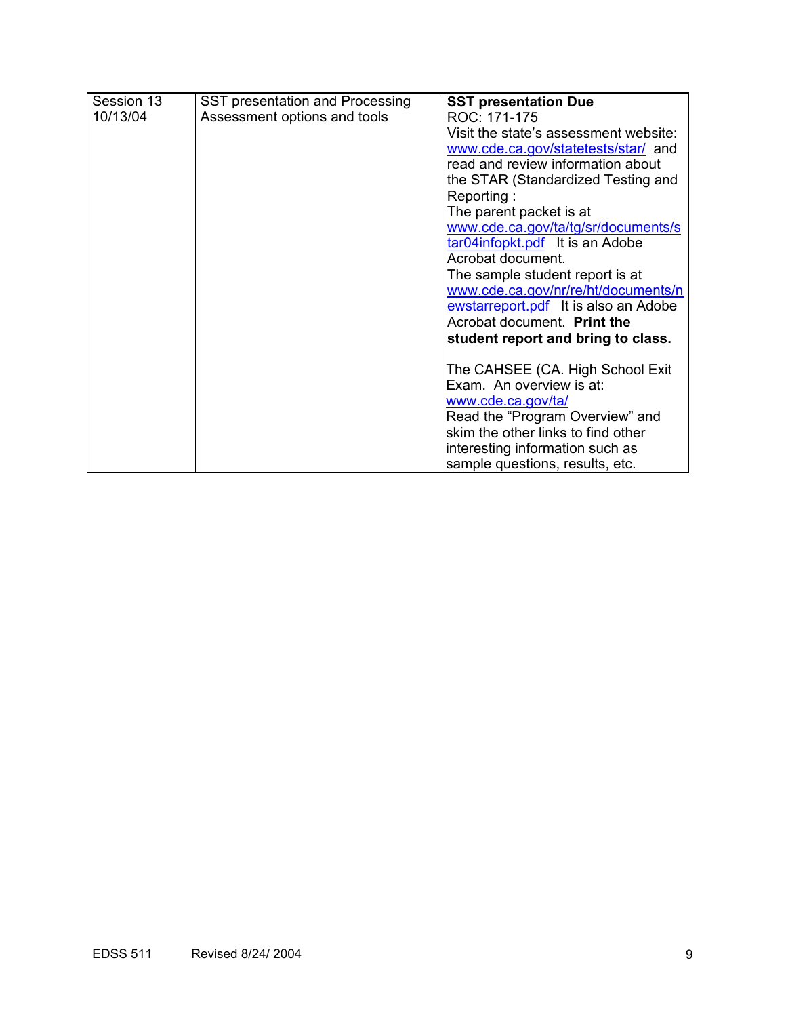| Session 13 | SST presentation and Processing | <b>SST presentation Due</b>           |
|------------|---------------------------------|---------------------------------------|
| 10/13/04   | Assessment options and tools    | ROC: 171-175                          |
|            |                                 | Visit the state's assessment website: |
|            |                                 | www.cde.ca.gov/statetests/star/ and   |
|            |                                 | read and review information about     |
|            |                                 | the STAR (Standardized Testing and    |
|            |                                 | Reporting:                            |
|            |                                 | The parent packet is at               |
|            |                                 | www.cde.ca.gov/ta/tg/sr/documents/s   |
|            |                                 | tar04infopkt.pdf It is an Adobe       |
|            |                                 | Acrobat document.                     |
|            |                                 | The sample student report is at       |
|            |                                 | www.cde.ca.gov/nr/re/ht/documents/n   |
|            |                                 | ewstarreport.pdf It is also an Adobe  |
|            |                                 | Acrobat document. Print the           |
|            |                                 | student report and bring to class.    |
|            |                                 | The CAHSEE (CA. High School Exit      |
|            |                                 | Exam. An overview is at:              |
|            |                                 | www.cde.ca.gov/ta/                    |
|            |                                 | Read the "Program Overview" and       |
|            |                                 | skim the other links to find other    |
|            |                                 | interesting information such as       |
|            |                                 | sample questions, results, etc.       |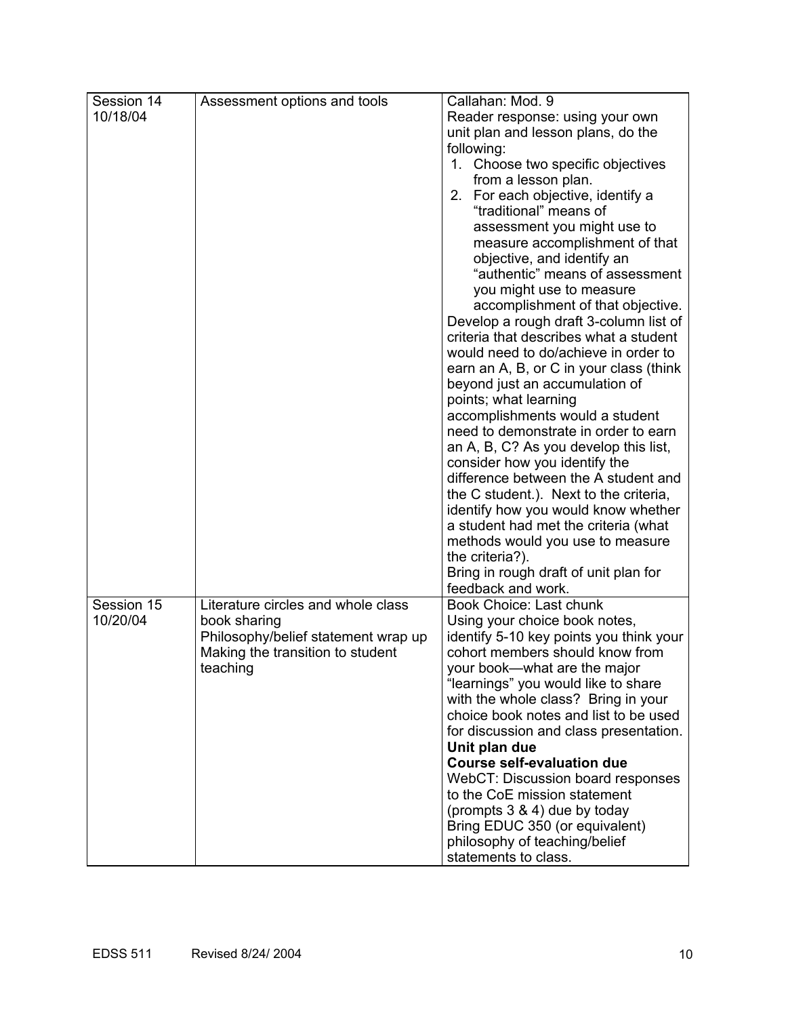| Session 14 | Assessment options and tools        | Callahan: Mod. 9                        |
|------------|-------------------------------------|-----------------------------------------|
| 10/18/04   |                                     | Reader response: using your own         |
|            |                                     | unit plan and lesson plans, do the      |
|            |                                     | following:                              |
|            |                                     | 1. Choose two specific objectives       |
|            |                                     | from a lesson plan.                     |
|            |                                     | 2. For each objective, identify a       |
|            |                                     | "traditional" means of                  |
|            |                                     | assessment you might use to             |
|            |                                     | measure accomplishment of that          |
|            |                                     | objective, and identify an              |
|            |                                     | "authentic" means of assessment         |
|            |                                     | you might use to measure                |
|            |                                     | accomplishment of that objective.       |
|            |                                     | Develop a rough draft 3-column list of  |
|            |                                     | criteria that describes what a student  |
|            |                                     | would need to do/achieve in order to    |
|            |                                     | earn an A, B, or C in your class (think |
|            |                                     | beyond just an accumulation of          |
|            |                                     | points; what learning                   |
|            |                                     | accomplishments would a student         |
|            |                                     | need to demonstrate in order to earn    |
|            |                                     | an A, B, C? As you develop this list,   |
|            |                                     | consider how you identify the           |
|            |                                     | difference between the A student and    |
|            |                                     | the C student.). Next to the criteria,  |
|            |                                     | identify how you would know whether     |
|            |                                     | a student had met the criteria (what    |
|            |                                     | methods would you use to measure        |
|            |                                     | the criteria?).                         |
|            |                                     | Bring in rough draft of unit plan for   |
|            |                                     | feedback and work.                      |
| Session 15 | Literature circles and whole class  | <b>Book Choice: Last chunk</b>          |
| 10/20/04   | book sharing                        | Using your choice book notes,           |
|            | Philosophy/belief statement wrap up | identify 5-10 key points you think your |
|            | Making the transition to student    | cohort members should know from         |
|            | teaching                            | your book-what are the major            |
|            |                                     | "learnings" you would like to share     |
|            |                                     | with the whole class? Bring in your     |
|            |                                     | choice book notes and list to be used   |
|            |                                     | for discussion and class presentation.  |
|            |                                     | Unit plan due                           |
|            |                                     | <b>Course self-evaluation due</b>       |
|            |                                     | WebCT: Discussion board responses       |
|            |                                     | to the CoE mission statement            |
|            |                                     | (prompts 3 & 4) due by today            |
|            |                                     | Bring EDUC 350 (or equivalent)          |
|            |                                     | philosophy of teaching/belief           |
|            |                                     | statements to class.                    |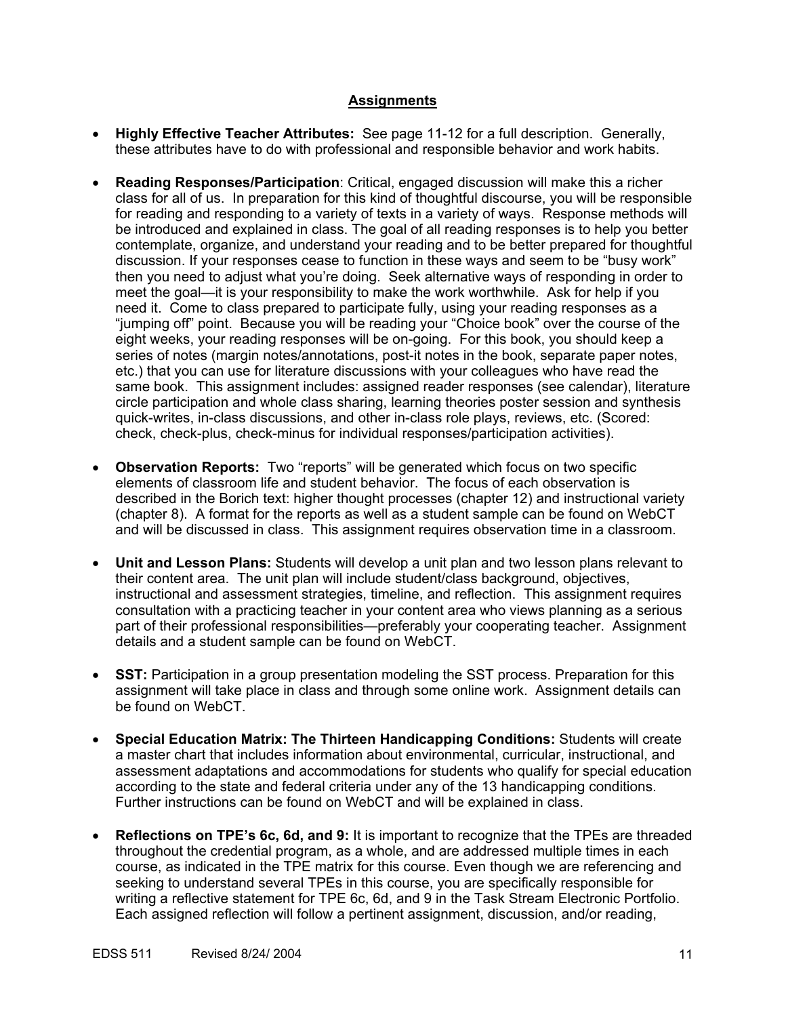# **Assignments**

- **Highly Effective Teacher Attributes:** See page 11-12 for a full description. Generally, these attributes have to do with professional and responsible behavior and work habits.
- **Reading Responses/Participation**: Critical, engaged discussion will make this a richer class for all of us. In preparation for this kind of thoughtful discourse, you will be responsible for reading and responding to a variety of texts in a variety of ways. Response methods will be introduced and explained in class. The goal of all reading responses is to help you better contemplate, organize, and understand your reading and to be better prepared for thoughtful discussion. If your responses cease to function in these ways and seem to be "busy work" then you need to adjust what you're doing. Seek alternative ways of responding in order to meet the goal—it is your responsibility to make the work worthwhile. Ask for help if you need it. Come to class prepared to participate fully, using your reading responses as a "jumping off" point. Because you will be reading your "Choice book" over the course of the eight weeks, your reading responses will be on-going. For this book, you should keep a series of notes (margin notes/annotations, post-it notes in the book, separate paper notes, etc.) that you can use for literature discussions with your colleagues who have read the same book. This assignment includes: assigned reader responses (see calendar), literature circle participation and whole class sharing, learning theories poster session and synthesis quick-writes, in-class discussions, and other in-class role plays, reviews, etc. (Scored: check, check-plus, check-minus for individual responses/participation activities).
- **Observation Reports:** Two "reports" will be generated which focus on two specific elements of classroom life and student behavior. The focus of each observation is described in the Borich text: higher thought processes (chapter 12) and instructional variety (chapter 8). A format for the reports as well as a student sample can be found on WebCT and will be discussed in class. This assignment requires observation time in a classroom.
- **Unit and Lesson Plans:** Students will develop a unit plan and two lesson plans relevant to their content area. The unit plan will include student/class background, objectives, instructional and assessment strategies, timeline, and reflection. This assignment requires consultation with a practicing teacher in your content area who views planning as a serious part of their professional responsibilities—preferably your cooperating teacher. Assignment details and a student sample can be found on WebCT.
- **SST:** Participation in a group presentation modeling the SST process. Preparation for this assignment will take place in class and through some online work. Assignment details can be found on WebCT.
- **Special Education Matrix: The Thirteen Handicapping Conditions:** Students will create a master chart that includes information about environmental, curricular, instructional, and assessment adaptations and accommodations for students who qualify for special education according to the state and federal criteria under any of the 13 handicapping conditions. Further instructions can be found on WebCT and will be explained in class.
- **Reflections on TPE's 6c, 6d, and 9:** It is important to recognize that the TPEs are threaded throughout the credential program, as a whole, and are addressed multiple times in each course, as indicated in the TPE matrix for this course. Even though we are referencing and seeking to understand several TPEs in this course, you are specifically responsible for writing a reflective statement for TPE 6c, 6d, and 9 in the Task Stream Electronic Portfolio. Each assigned reflection will follow a pertinent assignment, discussion, and/or reading,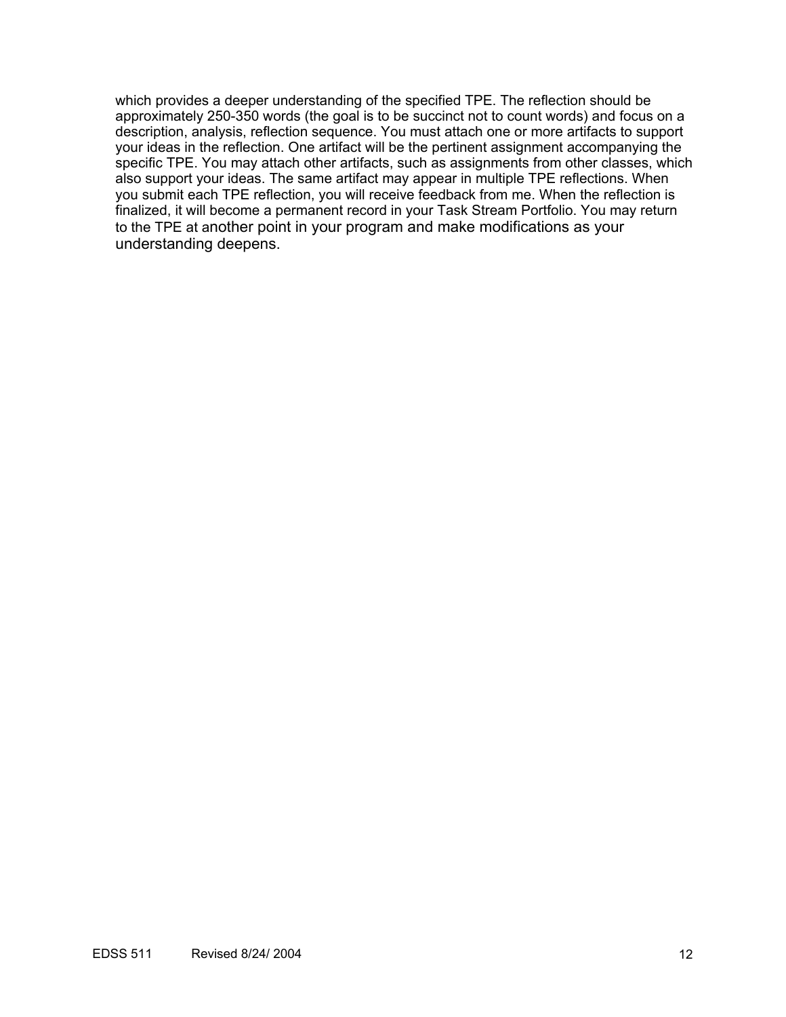which provides a deeper understanding of the specified TPE. The reflection should be approximately 250-350 words (the goal is to be succinct not to count words) and focus on a description, analysis, reflection sequence. You must attach one or more artifacts to support your ideas in the reflection. One artifact will be the pertinent assignment accompanying the specific TPE. You may attach other artifacts, such as assignments from other classes, which also support your ideas. The same artifact may appear in multiple TPE reflections. When you submit each TPE reflection, you will receive feedback from me. When the reflection is finalized, it will become a permanent record in your Task Stream Portfolio. You may return to the TPE at another point in your program and make modifications as your understanding deepens.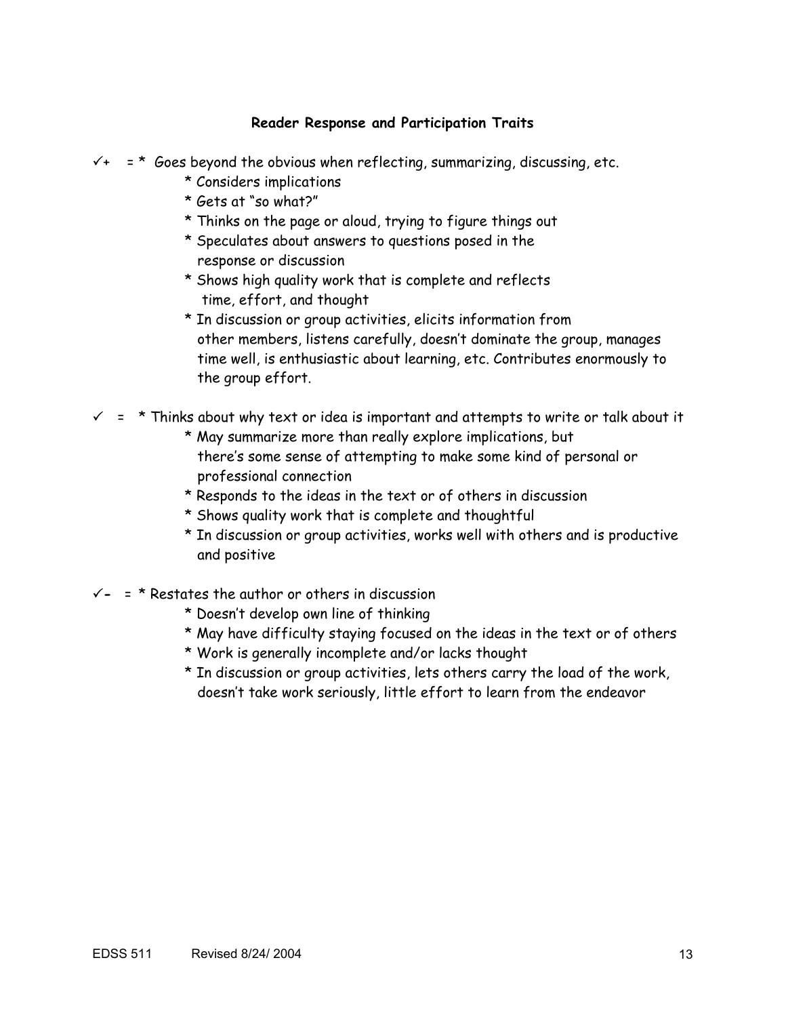# **Reader Response and Participation Traits**

 $\checkmark$ + = \* Goes beyond the obvious when reflecting, summarizing, discussing, etc.

- \* Considers implications
- \* Gets at "so what?"
- \* Thinks on the page or aloud, trying to figure things out
- \* Speculates about answers to questions posed in the response or discussion
- \* Shows high quality work that is complete and reflects time, effort, and thought
- \* In discussion or group activities, elicits information from other members, listens carefully, doesn't dominate the group, manages time well, is enthusiastic about learning, etc. Contributes enormously to the group effort.

 $\checkmark$  = \* Thinks about why text or idea is important and attempts to write or talk about it

- \* May summarize more than really explore implications, but there's some sense of attempting to make some kind of personal or professional connection
- \* Responds to the ideas in the text or of others in discussion
- \* Shows quality work that is complete and thoughtful
- \* In discussion or group activities, works well with others and is productive and positive
- $\checkmark$  = \* Restates the author or others in discussion
	- \* Doesn't develop own line of thinking
	- \* May have difficulty staying focused on the ideas in the text or of others
	- \* Work is generally incomplete and/or lacks thought
	- \* In discussion or group activities, lets others carry the load of the work, doesn't take work seriously, little effort to learn from the endeavor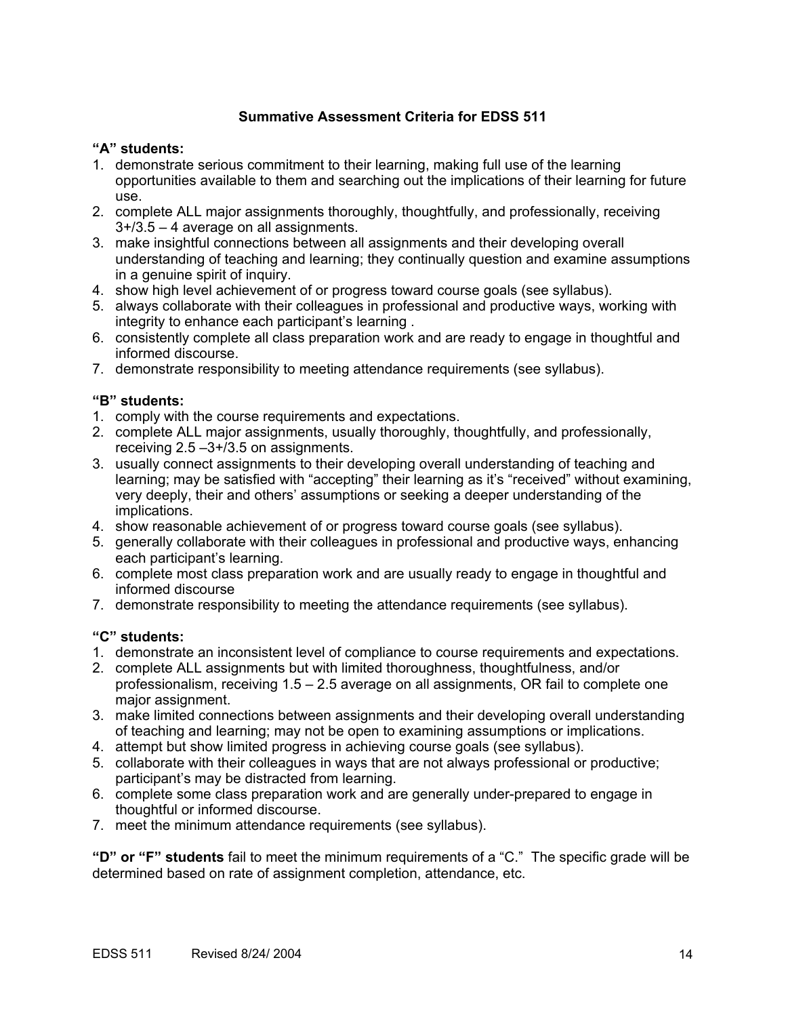# **Summative Assessment Criteria for EDSS 511**

## **"A" students:**

- 1. demonstrate serious commitment to their learning, making full use of the learning opportunities available to them and searching out the implications of their learning for future use.
- 2. complete ALL major assignments thoroughly, thoughtfully, and professionally, receiving 3+/3.5 – 4 average on all assignments.
- 3. make insightful connections between all assignments and their developing overall understanding of teaching and learning; they continually question and examine assumptions in a genuine spirit of inquiry.
- 4. show high level achievement of or progress toward course goals (see syllabus).
- 5. always collaborate with their colleagues in professional and productive ways, working with integrity to enhance each participant's learning .
- 6. consistently complete all class preparation work and are ready to engage in thoughtful and informed discourse.
- 7. demonstrate responsibility to meeting attendance requirements (see syllabus).

# **"B" students:**

- 1. comply with the course requirements and expectations.
- 2. complete ALL major assignments, usually thoroughly, thoughtfully, and professionally, receiving 2.5 –3+/3.5 on assignments.
- 3. usually connect assignments to their developing overall understanding of teaching and learning; may be satisfied with "accepting" their learning as it's "received" without examining, very deeply, their and others' assumptions or seeking a deeper understanding of the implications.
- 4. show reasonable achievement of or progress toward course goals (see syllabus).
- 5. generally collaborate with their colleagues in professional and productive ways, enhancing each participant's learning.
- 6. complete most class preparation work and are usually ready to engage in thoughtful and informed discourse
- 7. demonstrate responsibility to meeting the attendance requirements (see syllabus).

# **"C" students:**

- 1. demonstrate an inconsistent level of compliance to course requirements and expectations.
- 2. complete ALL assignments but with limited thoroughness, thoughtfulness, and/or professionalism, receiving 1.5 – 2.5 average on all assignments, OR fail to complete one major assignment.
- 3. make limited connections between assignments and their developing overall understanding of teaching and learning; may not be open to examining assumptions or implications.
- 4. attempt but show limited progress in achieving course goals (see syllabus).
- 5. collaborate with their colleagues in ways that are not always professional or productive; participant's may be distracted from learning.
- 6. complete some class preparation work and are generally under-prepared to engage in thoughtful or informed discourse.
- 7. meet the minimum attendance requirements (see syllabus).

**"D" or "F" students** fail to meet the minimum requirements of a "C." The specific grade will be determined based on rate of assignment completion, attendance, etc.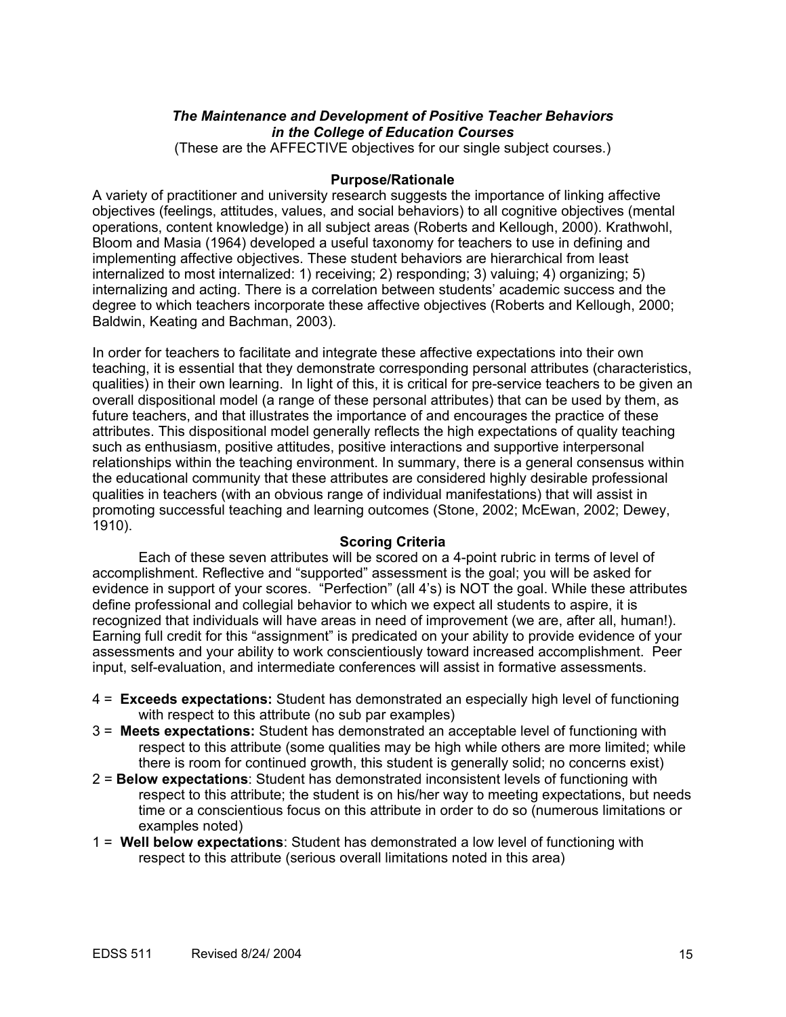# *The Maintenance and Development of Positive Teacher Behaviors in the College of Education Courses*

(These are the AFFECTIVE objectives for our single subject courses.)

## **Purpose/Rationale**

A variety of practitioner and university research suggests the importance of linking affective objectives (feelings, attitudes, values, and social behaviors) to all cognitive objectives (mental operations, content knowledge) in all subject areas (Roberts and Kellough, 2000). Krathwohl, Bloom and Masia (1964) developed a useful taxonomy for teachers to use in defining and implementing affective objectives. These student behaviors are hierarchical from least internalized to most internalized: 1) receiving; 2) responding; 3) valuing; 4) organizing; 5) internalizing and acting. There is a correlation between students' academic success and the degree to which teachers incorporate these affective objectives (Roberts and Kellough, 2000; Baldwin, Keating and Bachman, 2003).

In order for teachers to facilitate and integrate these affective expectations into their own teaching, it is essential that they demonstrate corresponding personal attributes (characteristics, qualities) in their own learning. In light of this, it is critical for pre-service teachers to be given an overall dispositional model (a range of these personal attributes) that can be used by them, as future teachers, and that illustrates the importance of and encourages the practice of these attributes. This dispositional model generally reflects the high expectations of quality teaching such as enthusiasm, positive attitudes, positive interactions and supportive interpersonal relationships within the teaching environment. In summary, there is a general consensus within the educational community that these attributes are considered highly desirable professional qualities in teachers (with an obvious range of individual manifestations) that will assist in promoting successful teaching and learning outcomes (Stone, 2002; McEwan, 2002; Dewey, 1910).

# **Scoring Criteria**

Each of these seven attributes will be scored on a 4-point rubric in terms of level of accomplishment. Reflective and "supported" assessment is the goal; you will be asked for evidence in support of your scores. "Perfection" (all 4's) is NOT the goal. While these attributes define professional and collegial behavior to which we expect all students to aspire, it is recognized that individuals will have areas in need of improvement (we are, after all, human!). Earning full credit for this "assignment" is predicated on your ability to provide evidence of your assessments and your ability to work conscientiously toward increased accomplishment. Peer input, self-evaluation, and intermediate conferences will assist in formative assessments.

- 4 = **Exceeds expectations:** Student has demonstrated an especially high level of functioning with respect to this attribute (no sub par examples)
- 3 = **Meets expectations:** Student has demonstrated an acceptable level of functioning with respect to this attribute (some qualities may be high while others are more limited; while there is room for continued growth, this student is generally solid; no concerns exist)
- 2 = **Below expectations**: Student has demonstrated inconsistent levels of functioning with respect to this attribute; the student is on his/her way to meeting expectations, but needs time or a conscientious focus on this attribute in order to do so (numerous limitations or examples noted)
- 1 = **Well below expectations**: Student has demonstrated a low level of functioning with respect to this attribute (serious overall limitations noted in this area)